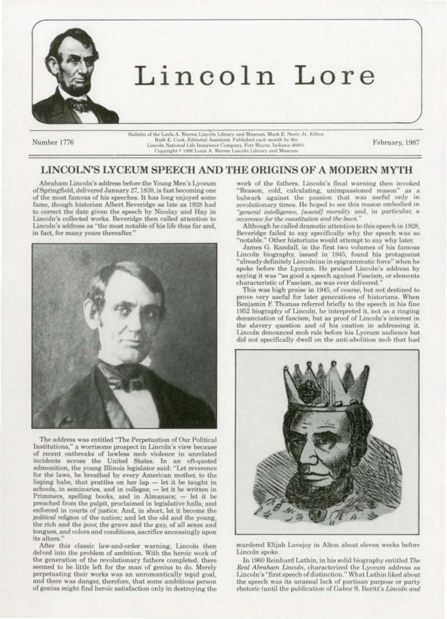

Number 1776

Bulletin of the Louis A. Warren Lincoln Library and Museum. Mark E. Neely, Jr., Editor, Ruth E. Cook, Editorial Assistant. Published each month by the Lincoln National Life Insurance Company, Fort Wayne, Indiana 46801. Copyright \* 1986 Louis A. Warren Lincoln Library and Museum

February, 1987

# LINCOLN'S LYCEUM SPEECH AND THE ORIGINS OF A MODERN MYTH

Abraham Lincoln's address before the Young Men's Lyceum of Springfield, delivered January 27, 1838, is fast becoming one of the most famous of his speeches. It has long enjoyed some fame, though historian Albert Beveridge as late as 1928 had to correct the date given the speech by Nicolay and Hay in Lincoln's collected works. Beveridge then called attention to Lincoln's address as "the most notable of his life thus far and, in fact, for many years thereafter."



The address was entitled "The Perpetuation of Our Political Institutions," a worrisome prospect in Lincoln's view because of recent outbreaks of lawless mob violence in unrelated<br>incidents across the United States. In an oft-quoted admonition, the young Illinois legislator said: "Let reverence for the laws, be breathed by every American mother, to the lisping babe, that prattles on her lap  $-$  let it be taught in schools, in seminaries, and in colleges;  $-$  let it be written in Primmers, spelling books, and in Almanacs; - let it be preached from the pulpit, proclaimed in legislative halls, and enforced in courts of justice. And, in short, let it become the political religion of the nation; and let the old and the young, the rich and the poor, the grave and the gay, of all sexes and tongues, and colors and conditions, sacrifice unceasingly upon its altars.

After this classic law-and-order warning, Lincoln then delved into the problem of ambition. With the heroic work of the generation of the revolutionary fathers completed, there seemed to be little left for the man of genius to do. Merely perpetuating their works was an unromantically tepid goal, and there was danger, therefore, that some ambitious person of genius might find heroic satisfaction only in destroying the

work of the fathers. Lincoln's final warning then invoked "Reason, cold, calculating, unimpassioned reason" as a bulwark against the passion that was useful only in revolutionary times. He hoped to see this reason embodied in "general intelligence, [sound] morality and, in particular, a reverence for the constitution and the laws.

Although he called dramatic attention to this speech in 1928, Beveridge failed to say specifically why the speech was so "notable." Other historians would attempt to say why later.

James G. Randall, in the first two volumes of his famous Lincoln biography, issued in 1945, found his protagonist "already definitely Lincolnian in epigrammatic force" when he spoke before the Lyceum. He praised Lincoln's address by saying it was "as good a speech against Fascism, or elements characteristic of Fascism, as was ever delivered."

This was high praise in 1945, of course, but not destined to prove very useful for later generations of historians. When Benjamin F. Thomas referred briefly to the speech in his fine 1952 biography of Lincoln, he interpreted it, not as a ringing denunciation of fascism, but as proof of Lincoln's interest in the slavery question and of his caution in addressing it. Lincoln denounced mob rule before his Lyceum audience but did not specifically dwell on the anti-abolition mob that had



murdered Elijah Lovejoy in Alton about eleven weeks before Lincoln spoke.

In 1960 Reinhard Luthin, in his solid biography entitled The Real Abraham Lincoln, characterized the Lyceum address as Lincoln's "first speech of distinction." What Luthin liked about the speech was its unusual lack of partisan purpose or party rhetoric (until the publication of Gabor S. Boritt's Lincoln and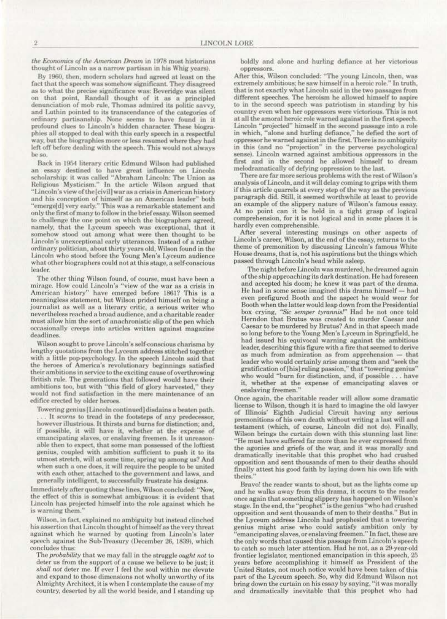the Economics of the American Dream in 1978 most historians thought of Lincoln as a narrow partisan in his Whig years).

By 1960, then, modern scholars had agreed at least on the fact that the speech was somehow significant. They disagreed as to what the precise significance was: Beveridge was silent on that point, Randall thought of it as a principled denunciation of mob rule, Thomas admired its politic savvy, and Luthin pointed to its transcendance of the categories of ordinary partisanship. None seems to have found in it profound clues to Lincoln's hidden character. These biographies all stopped to deal with this early speech in a respectful way, but the biographies more or less resumed where they had left off before dealing with the speech. This would not always be so.

Back in 1954 literary critic Edmund Wilson had published an essay destined to have great influence on Lincoln scholarship: it was called "Abraham Lincoln: The Union as Religious Mysticism." In the article Wilson argued that "Lincoln's view of the [civil] war as a crisis in American history and his conception of himself as an American leader" both<br>"emerge[d] very early." This was a remarkable statement and only the first of many to follow in the brief essay. Wilson seemed to challenge the one point on which the biographers agreed, namely, that the Lyceum speech was exceptional, that it somehow stood out among what were then thought to be Lincoln's unexceptional early utterances. Instead of a rather ordinary politician, about thirty years old, Wilson found in the Lincoln who stood before the Young Men's Lyceum audience what other biographers could not at this stage, a self-conscious leader.

The other thing Wilson found, of course, must have been a mirage. How could Lincoln's "view of the war as a crisis in American history" have emerged before 1861? This is a meaningless statement, but Wilson prided himself on being a journalist as well as a literary critic, a serious writer who nevertheless reached a broad audience, and a charitable reader must allow him the sort of anachronistic slip of the pen which occasionally creeps into articles written against magazine deadlines.

Wilson sought to prove Lincoln's self-conscious charisma by lengthy quotations from the Lyceum address stitched together with a little pop-psychology. In the speech Lincoln said that the heroes of America's revolutionary beginnings satisfied their ambitions in service to the exciting cause of overthrowing British rule. The generations that followed would have their ambitions too, but with "this field of glory harvested," they would not find satisfaction in the mere maintenance of an edifice erected by older heroes.

Towering genius [Lincoln continued] disdains a beaten path. . It scorns to tread in the footsteps of any predecessor, however illustrious. It thirsts and burns for distinction; and, if possible, it will have it, whether at the expense of emancipating slaves, or enslaving freemen. Is it unreasonable then to expect, that some man possessed of the loftiest genius, coupled with ambition sufficient to push it to its utmost stretch, will at some time, spring up among us? And when such a one does, it will require the people to be united with each other, attached to the government and laws, and generally intelligent, to successfully frustrate his designs.

Immediately after quoting these lines, Wilson concluded: "Now, the effect of this is somewhat ambiguous: it is evident that Lincoln has projected himself into the role against which he is warning them."

Wilson, in fact, explained no ambiguity but instead clinched his assertion that Lincoln thought of himself as the very threat against which he warned by quoting from Lincoln's later speech against the Sub-Treasury (December 26, 1839), which concludes thus:

The probability that we may fall in the struggle ought not to deter us from the support of a cause we believe to be just; it shall not deter me. If ever I feel the soul within me elevate and expand to those dimensions not wholly unworthy of its Almighty Architect, it is when I contemplate the cause of my country, deserted by all the world beside, and I standing up boldly and alone and hurling defiance at her victorious **ODDPPSSOPS** 

After this, Wilson concluded: "The young Lincoln, then, was extremely ambitious; he saw himself in a heroic role." In truth, that is not exactly what Lincoln said in the two passages from different speeches. The heroism he allowed himself to aspire to in the second speech was patriotism in standing by his country even when her oppressors were victorious. This is not at all the amoral heroic role warned against in the first speech. Lincoln "projected" himself in the second passage into a role in which, "alone and hurling defiance," he defied the sort of oppressor he warned against in the first. There is no ambiguity in this (and no "projection" in the perverse psychological sense). Lincoln warned against ambitious oppressors in the first and in the second he allowed himself to dream melodramatically of defying oppression to the last.

There are far more serious problems with the rest of Wilson's analysis of Lincoln, and it will delay coming to grips with them if this article quarrels at every step of the way as the previous paragraph did. Still, it seemed worthwhile at least to provide an example of the slippery nature of Wilson's famous essay. At no point can it be held in a tight grasp of logical comprehension, for it is not logical and in some places it is hardly even comprehensible.

After several interesting musings on other aspects of Lincoln's career, Wilson, at the end of the essay, returns to the theme of premonition by discussing Lincoln's famous White House dreams, that is, not his aspirations but the things which passed through Lincoln's head while asleep.

The night before Lincoln was murdered, he dreamed again of the ship approaching its dark destination. He had foreseen and accepted his doom; he knew it was part of the drama. He had in some sense imagined this drama himself - had even prefigured Booth and the aspect he would wear for Booth when the latter would leap down from the Presidential box crying, "Sic semper tyrannis!" Had he not once told Herndon that Brutus was created to murder Caesar and Caesar to be murdered by Brutus? And in that speech made so long before to the Young Men's Lyceum in Springfield, he had issued his equivocal warning against the ambitious leader, describing this figure with a fire that seemed to derive as much from admiration as from apprehension - that leader who would certainly arise among them and "seek the gratification of [his] ruling passion," that "towering genius" who would "burn for distinction, and, if possible . . . have it, whether at the expense of emancipating slaves or enslaving freemen."

Once again, the charitable reader will allow some dramatic license to Wilson, though it is hard to imagine the old lawyer of Illinois' Eighth Judicial Circuit having any serious premonitions of his own death without writing a last will and testament (which, of course, Lincoln did not do). Finally, Wilson brings the curtain down with this stunning last line: "He must have suffered far more than he ever expressed from the agonies and griefs of the war, and it was morally and dramatically inevitable that this prophet who had crushed opposition and sent thousands of men to their deaths should finally attest his good faith by laying down his own life with theirs.'

Bravo! the reader wants to shout, but as the lights come up and he walks away from this drama, it occurs to the reader once again that something slippery has happened on Wilson's stage. In the end, the "prophet" is the genius "who had crushed opposition and sent thousands of men to their deaths." But in the Lyceum address Lincoln had prophesied that a towering genius might arise who could satisfy ambition only by 'emancipating slaves, or enslaving freemen." In fact, these are the only words that caused this passage from Lincoln's speech to catch so much later attention. Had he not, as a 29-year-old frontier legislator, mentioned emancipation in this speech, 25 years before accomplishing it himself as President of the United States, not much notice would have been taken of this part of the Lyceum speech. So, why did Edmund Wilson not bring down the curtain on his essay by saying, "it was morally and dramatically inevitable that this prophet who had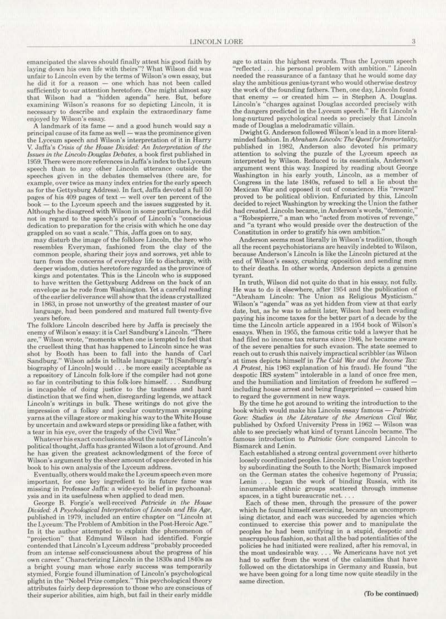emancipated the slaves should finally attest his good faith by laying down his own life with theirs"? What Wilson did was unfair to Lincoln even by the terms of Wilson's own essay, but he did it for a reason - one which has not been called sufficiently to our attention heretofore. One might almost say that Wilson had a "hidden agenda" here. But, before examining Wilson's reasons for so depicting Lincoln, it is necessary to describe and explain the extraordinary fame enjoyed by Wilson's essay.

A landmark of its fame - and a good hunch would say a principal cause of its fame as well - was the prominence given the Lyceum speech and Wilson's interpretation of it in Harry V. Jaffa's Crisis of the House Divided: An Interpretation of the *Issues in the Lincoln-Douglas Debates,* a book first published in 1959. There were more references in Jaffa's index to the Lyceum speech than to any other Lincoln utterance outside the speeches given in the debates themselves (there are, for example, over twice as many index entries for the early speech as for the Gettysburg Address). In fact, Jaffa devoted a full 50 pages of his  $409$  pages of text  $-$  well over ten percent of the book - to the Lyceum speech and the issues suggested by it. Although he disagreed with Wilson in some particulars, he did not in regard to the speech's proof of Lincoln's "conscious dedication to preparation for the crisis with which he one day grappled on so vast a scale." This, Jaffa goes on to say,

may disturb the image of the folkJore Lincoln, the hero who resembles Everyman, fashioned from the clay of the common people, sharing their joys and sorrows, yet able to turn from the concerns of everyday life to discharge. with deeper wisdom, duties heretofore regarded as the province of kings and potentates. This is the Lincoln who is supposed<br>to have written the Gettysburg Address on the back of an envelope as he rode from Washington. Yet a careful reading of the earlier deliverance will show that the ideas crystallized in 1863. in prose not unworthy of the greatest master of our language, had been pondered and matured full twenty-five years before.

The folklore Lincoln described here by Jaffa is precisely the enemy of Wilson's essay: it is Carl Sandburg's Lincoln. "There are." Wilson wrote. ''moments when one is tempted to feel that the cruellest thing that has happened to Lincoln since he was shot by Booth has been to fall into the hands of Carl Sandburg." Wilson adds in telltale language: "It [Sandburg's biography of Lincoln) would ... be more easily acceptable as a repository of Lincoln folk-lore if the compiler had not gone so far in contributing to this folk-lore himself. . . . Sandburg is incapable of doing justice to the tautness and hard distinction that we find when, disregarding legends, we attack l.incoln 's writings in bulk. These writings do not give the impression of a folksy and jocular countryman swapping yarns at the village store or making his way to the White House by uncertain and awkward steps or presiding like a father, with a tear in his *eye,* over the tragedy of the Civil War."

Whatever his exact conclusions about the nature of Lincoln's political thought, Jaffa has granted Wilson a lot of ground. And he has given the greatest acknowledgment of the force of Wilson's argument by the sheer amount of space devoted in his

book to his own analysis of the Lyceum address.<br>Eventually, others would make the Lyceum speech even more important, for one key ingredient to its future fame was missing in Professor Jaffa: a wide-eyed belief in psychoanal·

George B. Forgie's well-received Patricide in the House *Divided: A Psychological Interpretation of Lincoln and His Age,* published in l979, included nn entire chapter on "Lincoln at the Lyceum: The Problem of Ambition in the Post-Heroic Age.' In it the author attempted to explain the phenomenon of "projection" that Edmund Wilson had identified. Forgie contended that Lincoln's Lyceum address "probably proceeded<br>from an intense self-consciousness about the progress of his own career." Characterizing Lincoln in the 1830s and 1840s as a bright young man whose early success was temporarily stymied. Forgie found illumination of Lincoln's psychological plight in the "Nobel Prize complex." This psychological theory attributes fairly deep depression to those who are conscious of their superior abilities. aim high, but fail in their early middle age to attain the highest rewards. Thus the Lyceum speech "reflected . .. his personal problem with ambition." Lincoln needed the reassurance of a fantasy that he would some day slay the ambitious genius-tyrant who would otherwise destroy the work of the founding fathers. Then, one day, Lincoln found that enemy  $-$  or created him  $-$  in Stephen A. Douglas. Lincoln's "charges against Douglas accorded precisely with the dangers predicted in the Lyceum speech." He fit Lincoln's long-nurtured paychological needs so precisely that Lincoln made of Douglas a melodramatic villain.

Dwight G. Anderson followed Wilson's lead in a more literalminded fashion. In *Abraham Lincoln: The Quest for Immortality*, published in 1982, Anderson also devoted his primary attention to solving the puzzle of the Lyceum speech as interpreted by Wilson. Reduced to its essentials. Anderson's argument went this way. lnspired by reading about George Washington in his early youth, Lincoln, as a member of Congress in the late 1840s, refused to tell a lie about the Mexican War and opposed it out of conscience. His "reward" proved to be political oblivion. Enfuriated by this, Lincoln decided to reject Washington by wrecking the Union the father<br>had created. Lincoln became, in Anderson's words, "demonic," a "Robespierre," a man who "acted from motives of revenge," and "a tyrant who would preside over the destruction of the Constitution in order to gratify his own ambition.'

Anderson seems most literally in Wilson's tradition, though all the recent psychohistorians are heavily indebted to Wilson, because Anderson's Lincoln is like the Lincoln pictured at the end of Wilson's essay, crushing opposition and sending men to their deaths. In other words, Anderson depicts a genuine tyrant..

In truth, Wilson did not quite do that in his essay, not fully. He was to do it elsewhere, after 1954 and the publication of "Abraham Lincoln: The Union as Religious Mysticism." Wilson's "agenda" was as yet hidden from view at that early date, but, as he was to admit later, Wilson had been evading paying his income taxes for the better part of a decade by the time the Lincoln article appeared in a 1954 book of Wilson's essays. When in 1955, the famous critic told a lawyer that he had filed no income tax returns since 1946. he became aware of the severe penalties for such evasion. The state seemed to reach out to crush this naively impractical scribbler (as Wilson at times depicts himself in *The Cold War and the Income Tax: A Protest, his 1963 explanation of his fraud). He found "the* despotic IRS system" intolerable in a land of once free men, and the humiliation and limitation of freedom he suffered  $$ including house arrest and being fingerprinted  $-$  caused him to regard the government in new ways.

By the time he got around to writing the introduction to the book which would make his Lincoln essay famous - *Patriotic* Gore: Studies in the Literature of the American Civil War, published by Oxford University Press in 1962 - Wilson was able to see precisely what kind of tyrant Lincoln became. The famous introduction to *Patriotic Gore* compared Lincoln to Bismarck and Lenin.

Each established a strong central government over hitherto loosely coordinated peoples. Lincoln kept the Union together<br>by subordinating the South to the North; Bismarck imposed on the German states the cohesive hegemony of Prussia; Lenin ... began the work of binding Russia, with its innumerable ethnic groups scattered through immense spaces, in a tight bureaucratic net. . . .

Each of these men. through the pressure of the power which he found himself exercising, became an uncomprom· ising dictator, and each was succeeded by agencies which continued to exercise this power and to manipulate the peoples he had been unifying in a stupid, despotic and unscrupulous fashion. so that all the bad potentialities of the policies he had initiated were realized, after his removal, in the most undesirable way .... We Americans have not yet had to suffer from the worst of the calamities that have followed on the dictatorships in Germany and Russia, but we have been going for a long time now quite steadily in the same direction.